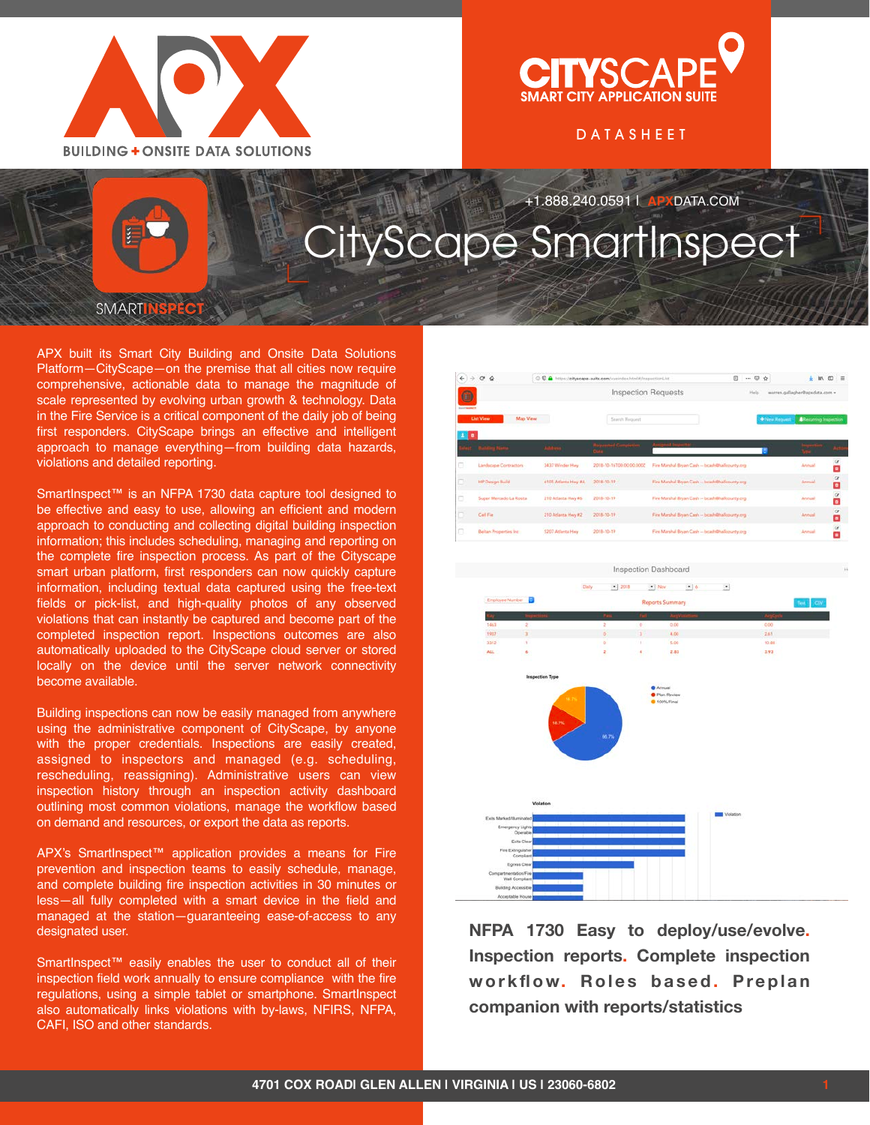

## **TYSCA SMART CITY APPLICATION SUITI**

DATASHEET

## +1.888.240.0591 | **APX**DATA.COM CityScape SmartInspect

**SMART** 

APX built its Smart City Building and Onsite Data Solutions Platform—CityScape—on the premise that all cities now require comprehensive, actionable data to manage the magnitude of scale represented by evolving urban growth & technology. Data in the Fire Service is a critical component of the daily job of being first responders. CityScape brings an effective and intelligent approach to manage everything—from building data hazards, violations and detailed reporting.

SmartInspect<sup>™</sup> is an NFPA 1730 data capture tool designed to be effective and easy to use, allowing an efficient and modern approach to conducting and collecting digital building inspection information; this includes scheduling, managing and reporting on the complete fire inspection process. As part of the Cityscape smart urban platform, first responders can now quickly capture information, including textual data captured using the free-text fields or pick-list, and high-quality photos of any observed violations that can instantly be captured and become part of the completed inspection report. Inspections outcomes are also automatically uploaded to the CityScape cloud server or stored locally on the device until the server network connectivity become available.

Building inspections can now be easily managed from anywhere using the administrative component of CityScape, by anyone with the proper credentials. Inspections are easily created, assigned to inspectors and managed (e.g. scheduling, rescheduling, reassigning). Administrative users can view inspection history through an inspection activity dashboard outlining most common violations, manage the workflow based on demand and resources, or export the data as reports.

APX's SmartInspect™ application provides a means for Fire prevention and inspection teams to easily schedule, manage, and complete building fire inspection activities in 30 minutes or less—all fully completed with a smart device in the field and managed at the station—guaranteeing ease-of-access to any designated user.

SmartInspect<sup>™</sup> easily enables the user to conduct all of their inspection field work annually to ensure compliance with the fire regulations, using a simple tablet or smartphone. SmartInspect also automatically links violations with by-laws, NFIRS, NFPA, CAFI, ISO and other standards.

| $\leftarrow$<br>÷            | $\mathbf{C}$<br>♤<br>4 0 0 a https://cityscape-suite.com/vueindox.html#/inspectionLlst |                     |                                           | 回                                               | O.<br>$\triangle$<br>$\cdots$           |                              |          | 四 三                 |
|------------------------------|----------------------------------------------------------------------------------------|---------------------|-------------------------------------------|-------------------------------------------------|-----------------------------------------|------------------------------|----------|---------------------|
| $\bullet$<br><b>SALESWAY</b> |                                                                                        |                     | <b>Inspection Requests</b>                |                                                 | warren.gallagher@apxdata.com =<br>Help. |                              |          |                     |
|                              | Map View<br>List View                                                                  |                     | Search Request                            |                                                 | + New Request                           | <b>ARecurring Inspection</b> |          |                     |
| в                            | المستنفة مستخلصة                                                                       | <b>Salarance</b>    | <b>Construct Committee</b><br><b>Grim</b> | <b><i><u>CALIFORNIA SOLIDANIST</u></i></b>      |                                         |                              |          |                     |
| о                            | Landscape Contractors                                                                  | 3437 Winder Hwy     | 2018-10-16100-00:00:0002                  | Fire Marshal Bryan Cash -- bcash@hallcounty.org |                                         | Annual                       | $\alpha$ | ō                   |
| ō                            | <b>HP Design Build</b>                                                                 | 6105 Atlanta Hwy &A | 2018-10-19                                | Fire Marshal Bryan Cash -- bomh@hallcounty.org  |                                         | Armuld                       |          | œ<br>٥              |
| 54<br>ō                      | Super Mercado La Rosita                                                                | 210 Atlanta Hwy #6  | 2018-10-19                                | Fire Marshal Bryan Cash -- bcash@hallcounty.org |                                         | Arnual                       |          | ő                   |
| ō                            | Call Fie:                                                                              | 210 Atlanta Hwy #2  | 2018-10-19                                | Fire Marshal Bryan Cash -- bcash@hallcounty.org |                                         | Annual                       |          | å                   |
| ō                            | <b>Beitan Properties Inc.</b>                                                          | 5207 Atlanta Hwy    | 2018-10-19                                | Fee Marshal Bryan Cash - boash@hallcounty.org   |                                         | Annual                       |          | $\overline{a}$<br>n |



**NFPA 1730 Easy to deploy/use/evolve. Inspection reports. Complete inspection**  workflow. Roles based. Preplan **companion with reports/statistics**